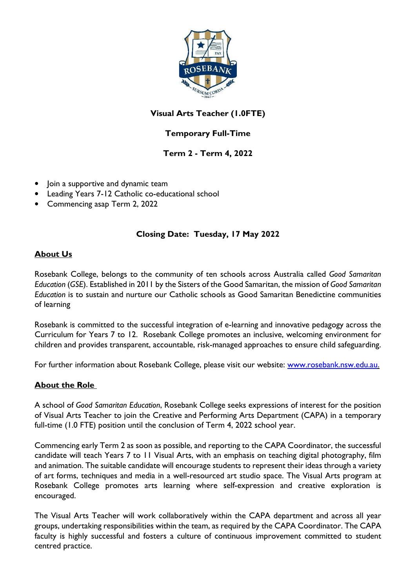

# **Visual Arts Teacher (1.0FTE)**

# **Temporary Full-Time**

## **Term 2 - Term 4, 2022**

- Join a supportive and dynamic team
- Leading Years 7-12 Catholic co-educational school
- Commencing asap Term 2, 2022

### **Closing Date: Tuesday, 17 May 2022**

### **About Us**

Rosebank College, belongs to the community of ten schools across Australia called *Good Samaritan Education* (*GSE*). Established in 2011 by the Sisters of the Good Samaritan, the mission of *Good Samaritan Education* is to sustain and nurture our Catholic schools as Good Samaritan Benedictine communities of learning

Rosebank is committed to the successful integration of e-learning and innovative pedagogy across the Curriculum for Years 7 to 12. Rosebank College promotes an inclusive, welcoming environment for children and provides transparent, accountable, risk-managed approaches to ensure child safeguarding.

For further information about Rosebank College, please visit our website: www.rosebank.nsw.edu.au.

### **About the Role**

A school of *Good Samaritan Education*, Rosebank College seeks expressions of interest for the position of Visual Arts Teacher to join the Creative and Performing Arts Department (CAPA) in a temporary full-time (1.0 FTE) position until the conclusion of Term 4, 2022 school year.

Commencing early Term 2 as soon as possible, and reporting to the CAPA Coordinator, the successful candidate will teach Years 7 to 11 Visual Arts, with an emphasis on teaching digital photography, film and animation. The suitable candidate will encourage students to represent their ideas through a variety of art forms, techniques and media in a well-resourced art studio space. The Visual Arts program at Rosebank College promotes arts learning where self-expression and creative exploration is encouraged.

The Visual Arts Teacher will work collaboratively within the CAPA department and across all year groups, undertaking responsibilities within the team, as required by the CAPA Coordinator. The CAPA faculty is highly successful and fosters a culture of continuous improvement committed to student centred practice.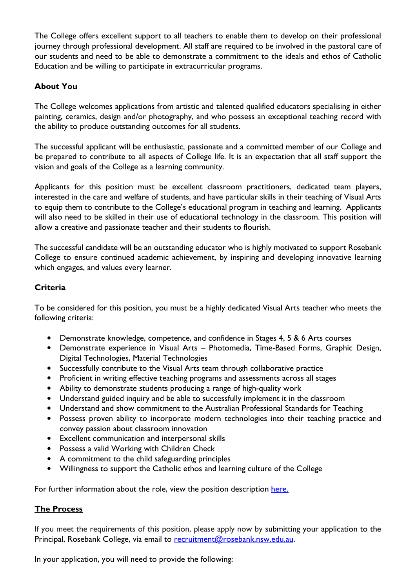The College offers excellent support to all teachers to enable them to develop on their professional journey through professional development. All staff are required to be involved in the pastoral care of our students and need to be able to demonstrate a commitment to the ideals and ethos of Catholic Education and be willing to participate in extracurricular programs.

#### **About You**

The College welcomes applications from artistic and talented qualified educators specialising in either painting, ceramics, design and/or photography, and who possess an exceptional teaching record with the ability to produce outstanding outcomes for all students.

The successful applicant will be enthusiastic, passionate and a committed member of our College and be prepared to contribute to all aspects of College life. It is an expectation that all staff support the vision and goals of the College as a learning community.

Applicants for this position must be excellent classroom practitioners, dedicated team players, interested in the care and welfare of students, and have particular skills in their teaching of Visual Arts to equip them to contribute to the College's educational program in teaching and learning. Applicants will also need to be skilled in their use of educational technology in the classroom. This position will allow a creative and passionate teacher and their students to flourish.

The successful candidate will be an outstanding educator who is highly motivated to support Rosebank College to ensure continued academic achievement, by inspiring and developing innovative learning which engages, and values every learner.

### **Criteria**

To be considered for this position, you must be a highly dedicated Visual Arts teacher who meets the following criteria:

- Demonstrate knowledge, competence, and confidence in Stages 4, 5 & 6 Arts courses
- Demonstrate experience in Visual Arts Photomedia, Time-Based Forms, Graphic Design, Digital Technologies, Material Technologies
- Successfully contribute to the Visual Arts team through collaborative practice
- Proficient in writing effective teaching programs and assessments across all stages
- Ability to demonstrate students producing a range of high-quality work
- Understand guided inquiry and be able to successfully implement it in the classroom
- Understand and show commitment to the Australian Professional Standards for Teaching
- Possess proven ability to incorporate modern technologies into their teaching practice and convey passion about classroom innovation
- Excellent communication and interpersonal skills
- Possess a valid Working with Children Check
- A commitment to the child safeguarding principles
- Willingness to support the Catholic ethos and learning culture of the College

For further information about the role, view the position description here.

#### **The Process**

If you meet the requirements of this position, please apply now by submitting your application to the Principal, Rosebank College, via email to recruitment@rosebank.nsw.edu.au.

In your application, you will need to provide the following: